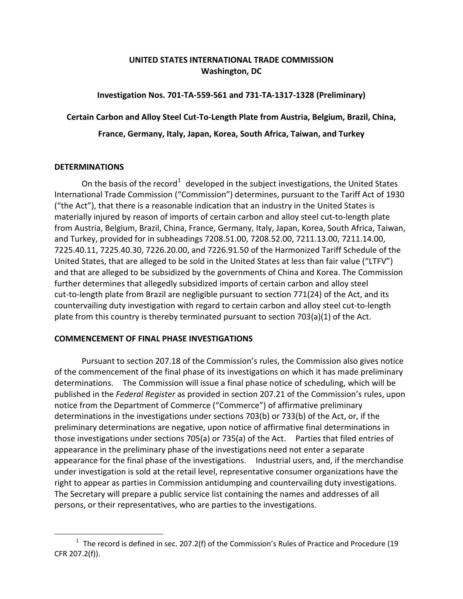# **UNITED STATES INTERNATIONAL TRADE COMMISSION Washington, DC**

## **Investigation Nos. 701-TA-559-561 and 731-TA-1317-1328 (Preliminary)**

**Certain Carbon and Alloy Steel Cut-To-Length Plate from Austria, Belgium, Brazil, China,** 

**France, Germany, Italy, Japan, Korea, South Africa, Taiwan, and Turkey**

### **DETERMINATIONS**

 $\overline{a}$ 

On the basis of the record<sup>[1](#page-0-0)</sup> developed in the subject investigations, the United States International Trade Commission ("Commission") determines, pursuant to the Tariff Act of 1930 ("the Act"), that there is a reasonable indication that an industry in the United States is materially injured by reason of imports of certain carbon and alloy steel cut-to-length plate from Austria, Belgium, Brazil, China, France, Germany, Italy, Japan, Korea, South Africa, Taiwan, and Turkey, provided for in subheadings 7208.51.00, 7208.52.00, 7211.13.00, 7211.14.00, 7225.40.11, 7225.40.30, 7226.20.00, and 7226.91.50 of the Harmonized Tariff Schedule of the United States, that are alleged to be sold in the United States at less than fair value ("LTFV") and that are alleged to be subsidized by the governments of China and Korea. The Commission further determines that allegedly subsidized imports of certain carbon and alloy steel cut-to-length plate from Brazil are negligible pursuant to section 771(24) of the Act, and its countervailing duty investigation with regard to certain carbon and alloy steel cut-to-length plate from this country is thereby terminated pursuant to section 703(a)(1) of the Act.

### **COMMENCEMENT OF FINAL PHASE INVESTIGATIONS**

Pursuant to section 207.18 of the Commission's rules, the Commission also gives notice of the commencement of the final phase of its investigations on which it has made preliminary determinations. The Commission will issue a final phase notice of scheduling, which will be published in the *Federal Register* as provided in section 207.21 of the Commission's rules, upon notice from the Department of Commerce ("Commerce") of affirmative preliminary determinations in the investigations under sections 703(b) or 733(b) of the Act, or, if the preliminary determinations are negative, upon notice of affirmative final determinations in those investigations under sections 705(a) or 735(a) of the Act. Parties that filed entries of appearance in the preliminary phase of the investigations need not enter a separate appearance for the final phase of the investigations. Industrial users, and, if the merchandise under investigation is sold at the retail level, representative consumer organizations have the right to appear as parties in Commission antidumping and countervailing duty investigations. The Secretary will prepare a public service list containing the names and addresses of all persons, or their representatives, who are parties to the investigations.

<span id="page-0-0"></span> $1$  The record is defined in sec. 207.2(f) of the Commission's Rules of Practice and Procedure (19 CFR 207.2(f)).